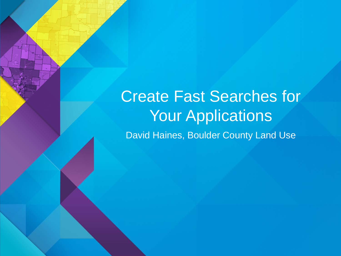Create Fast Searches for Your Applications David Haines, Boulder County Land Use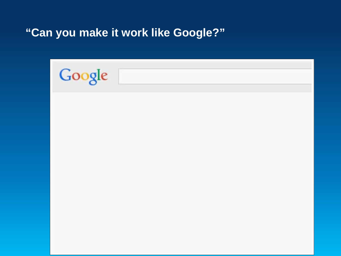**"Can you make it work like Google?"**

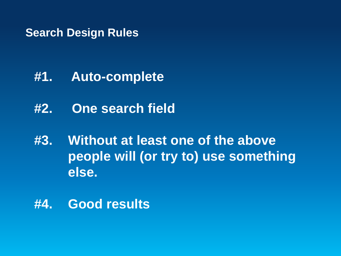#### **Search Design Rules**

- **#1. Auto-complete**
- **#2. One search field**
- **#3. Without at least one of the above people will (or try to) use something else.**
- **#4. Good results**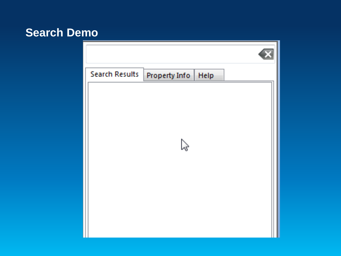#### **Search Demo**

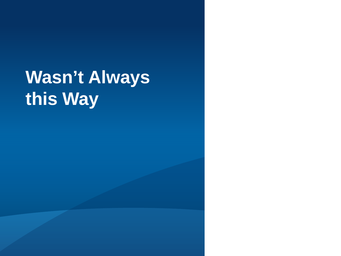## **Wasn't Always this Way**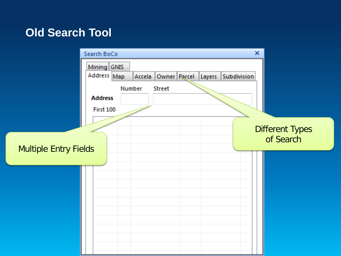#### **Old Search Tool**

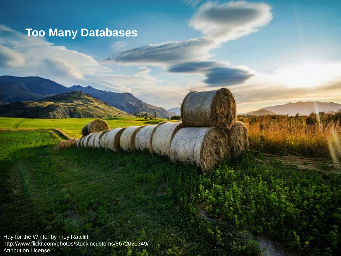## **Too Many Databases**

Hay for the Winter by Trey Ratcliff http://www.flickr.com/photos/stuckincustoms/8672061349/ Attribution License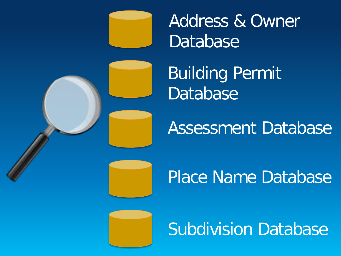

Address & Owner **Database** 

Building Permit **Database** 

Assessment Database

Place Name Database

Subdivision Database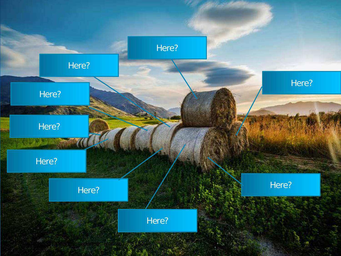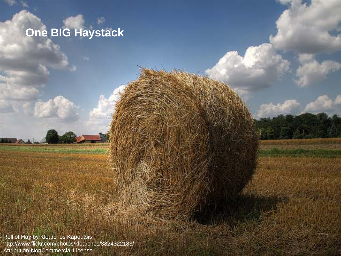## **One BIG Haystack**

Roll of Hay by Klearchos Kapoutsis http://www.flickr.com/photos/klearchos/3824322183/ Attribution-NonCommercial License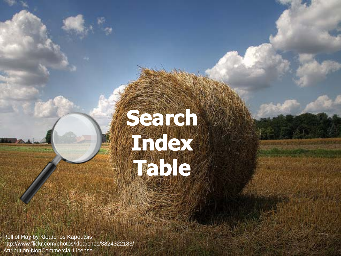

Roll of Hay by Klearchos Kapoutsis http://www.flickr.com/photos/klearchos/3824322183/ Attribution-NonCommercial License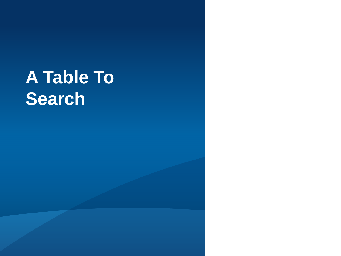## **A Table To Search**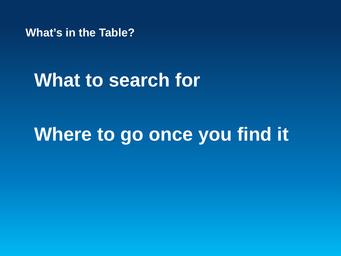**What's in the Table?**

## **What to search for**

## **Where to go once you find it**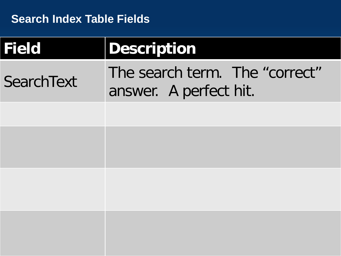| <b>Field</b> | Description                                              |  |  |
|--------------|----------------------------------------------------------|--|--|
| SearchText   | The search term. The "correct"<br>answer. A perfect hit. |  |  |
|              |                                                          |  |  |
|              |                                                          |  |  |
|              |                                                          |  |  |
|              |                                                          |  |  |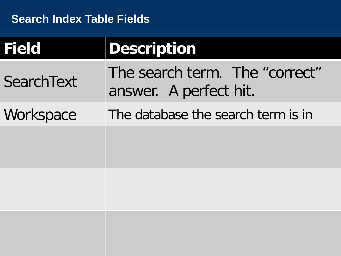| <b>Field</b>      | <b>Description</b>                                       |
|-------------------|----------------------------------------------------------|
| <b>SearchText</b> | The search term. The "correct"<br>answer. A perfect hit. |
| Workspace         | The database the search term is in                       |
|                   |                                                          |
|                   |                                                          |
|                   |                                                          |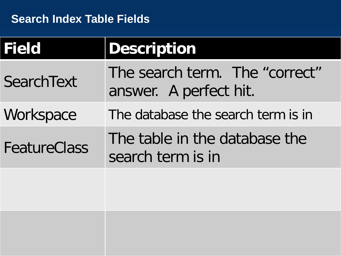| <b>Field</b>      | <b>Description</b>                                       |  |
|-------------------|----------------------------------------------------------|--|
| <b>SearchText</b> | The search term. The "correct"<br>answer. A perfect hit. |  |
| Workspace         | The database the search term is in                       |  |
| FeatureClass      | The table in the database the<br>search term is in       |  |
|                   |                                                          |  |
|                   |                                                          |  |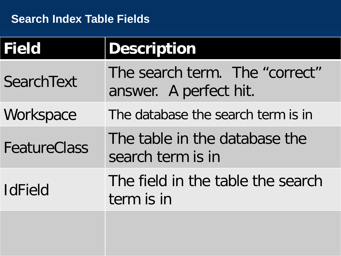| <b>Field</b>      | <b>Description</b>                                       |  |
|-------------------|----------------------------------------------------------|--|
| <b>SearchText</b> | The search term. The "correct"<br>answer. A perfect hit. |  |
| Workspace         | The database the search term is in                       |  |
| FeatureClass      | The table in the database the<br>search term is in       |  |
| <b>IdField</b>    | The field in the table the search<br>term is in          |  |
|                   |                                                          |  |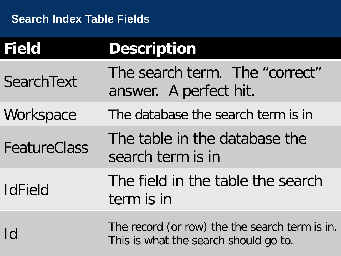| <b>Field</b>        | <b>Description</b>                                                                      |  |
|---------------------|-----------------------------------------------------------------------------------------|--|
| <b>SearchText</b>   | The search term. The "correct"<br>answer. A perfect hit.                                |  |
| Workspace           | The database the search term is in                                                      |  |
| <b>FeatureClass</b> | The table in the database the<br>search term is in                                      |  |
| <b>IdField</b>      | The field in the table the search<br>term is in                                         |  |
| Id                  | The record (or row) the the search term is in.<br>This is what the search should go to. |  |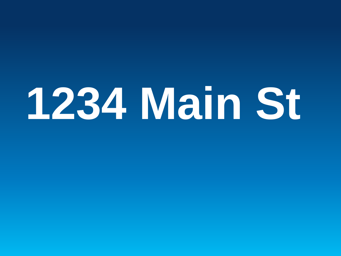## **1234 Main St**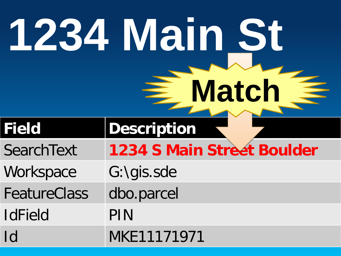| 1234 Main St<br>Match |                                   |  |
|-----------------------|-----------------------------------|--|
| <b>Field</b>          | <b>Description</b>                |  |
| <b>SearchText</b>     | <b>1234 S Main Street Boulder</b> |  |
| Workspace             | G:\gis.sde                        |  |
| <b>FeatureClass</b>   | dbo.parcel                        |  |
| <b>IdField</b>        | PIN                               |  |
| Id                    | MKE11171971                       |  |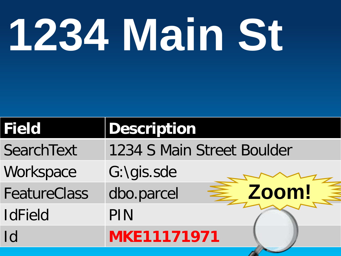# **1234 Main St**

| <b>Description</b>           |
|------------------------------|
| 1234 S Main Street Boulder   |
| G:\gis.sde                   |
| <b>≧ Zoom!</b><br>dbo.parcel |
| PIN                          |
| <b>MKE11171971</b>           |
|                              |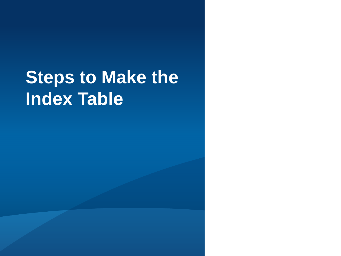## **Steps to Make the Index Table**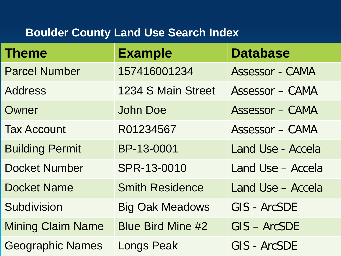## **Boulder County Land Use Search Index**

| <b>Theme</b>             | <b>Example</b>           | <b>Database</b>        |
|--------------------------|--------------------------|------------------------|
| <b>Parcel Number</b>     | 157416001234             | Assessor - CAMA        |
| <b>Address</b>           | 1234 S Main Street       | <b>Assessor - CAMA</b> |
| Owner                    | <b>John Doe</b>          | Assessor - CAMA        |
| <b>Tax Account</b>       | R01234567                | <b>Assessor - CAMA</b> |
| <b>Building Permit</b>   | BP-13-0001               | Land Use - Accela      |
| <b>Docket Number</b>     | SPR-13-0010              | Land Use - Accela      |
| <b>Docket Name</b>       | <b>Smith Residence</b>   | Land Use - Accela      |
| Subdivision              | <b>Big Oak Meadows</b>   | GIS - ArcSDE           |
| <b>Mining Claim Name</b> | <b>Blue Bird Mine #2</b> | $GIS - ArcSDE$         |
| <b>Geographic Names</b>  | Longs Peak               | GIS - ArcSDE           |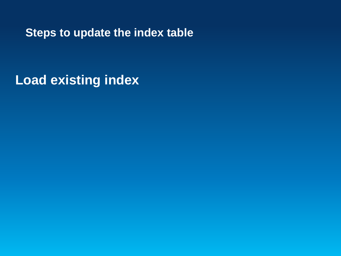**Load existing index**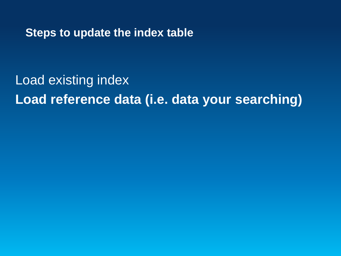Load existing index **Load reference data (i.e. data your searching)**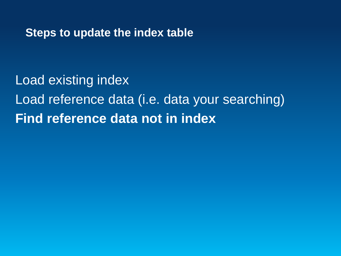Load existing index Load reference data (i.e. data your searching) **Find reference data not in index**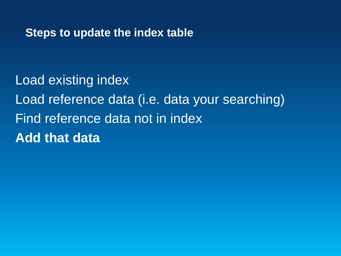Load existing index Load reference data (i.e. data your searching) Find reference data not in index **Add that data**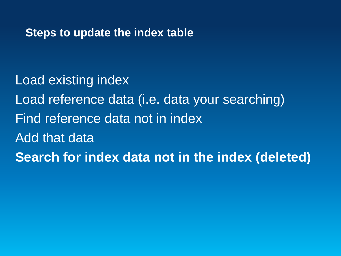Load existing index Load reference data (i.e. data your searching) Find reference data not in index Add that data **Search for index data not in the index (deleted)**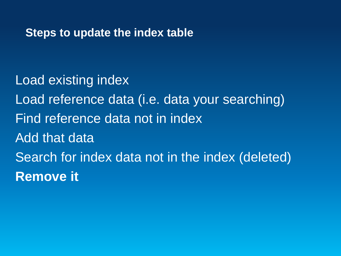Load existing index Load reference data (i.e. data your searching) Find reference data not in index Add that data Search for index data not in the index (deleted) **Remove it**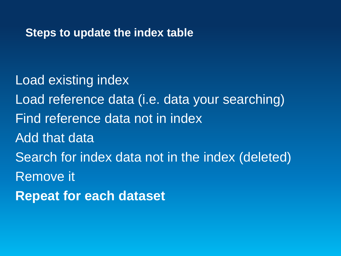Load existing index Load reference data (i.e. data your searching) Find reference data not in index Add that data Search for index data not in the index (deleted) Remove it **Repeat for each dataset**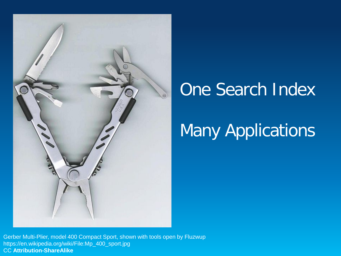

## One Search Index

## Many Applications

Gerber Multi-Plier, model 400 Compact Sport, shown with tools open by Fluzwup https://en.wikipedia.org/wiki/File:Mp\_400\_sport.jpg CC **Attribution-ShareAlike**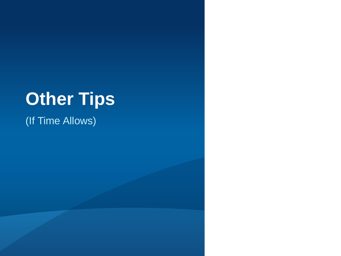## **Other Tips**

(If Time Allows)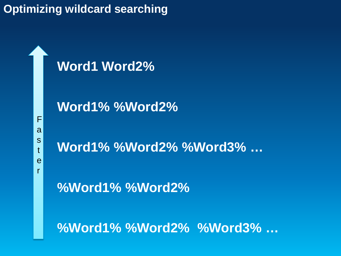## **Optimizing wildcard searching**

**Word1 Word2%**

**Word1% %Word2%**

F a s t e r

**Word1% %Word2% %Word3% …**

**%Word1% %Word2%** 

**%Word1% %Word2% %Word3% …**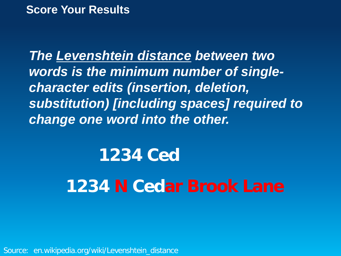#### **Score Your Results**

*The Levenshtein distance between two words is the minimum number of singlecharacter edits (insertion, deletion, substitution) [including spaces] required to change one word into the other.*

## **1234 Ced 1234 N Cedar Brook Lane**

Source: en.wikipedia.org/wiki/Levenshtein\_distance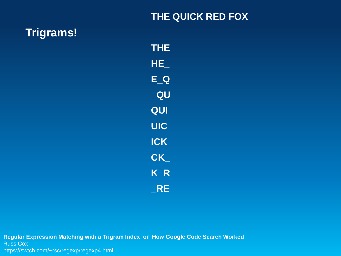#### **THE QUICK RED FOX**

#### **Trigrams!**

**THE HE\_ E\_Q \_QU QUI UIC ICK CK\_ K\_R \_RE**

**Regular Expression Matching with a Trigram Index or How Google Code Search Worked** Russ Cox https://swtch.com/~rsc/regexp/regexp4.html